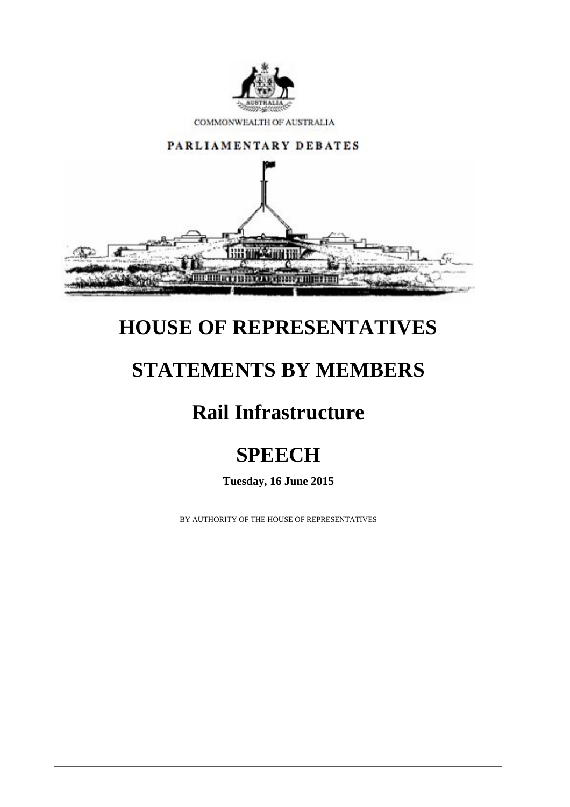

COMMONWEALTH OF AUSTRALIA



### **HOUSE OF REPRESENTATIVES**

## **STATEMENTS BY MEMBERS**

# **Rail Infrastructure**

# **SPEECH**

**Tuesday, 16 June 2015**

BY AUTHORITY OF THE HOUSE OF REPRESENTATIVES